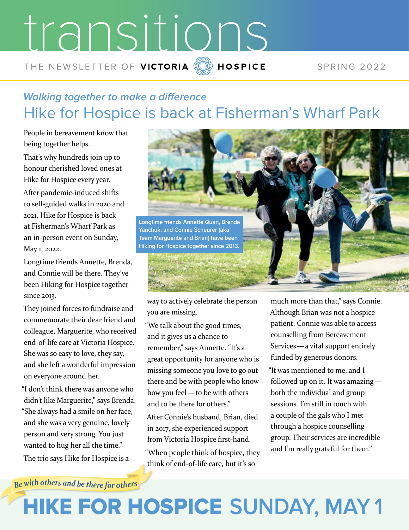# transitions THE NEWSLETTER OF VICTORIA  $\overline{20}$  HOSPICE SPRING 2022

#### **Walking together to make a difference** Hike for Hospice is back at Fisherman's Wharf Park

People in bereavement know that being together helps.

That's why hundreds join up to honour cherished loved ones at Hike for Hospice every year.

After pandemic-induced shifts to self-guided walks in 2020 and 2021, Hike for Hospice is back at Fisherman's Wharf Park as an in-person event on Sunday, May 1, 2022.

Longtime friends Annette, Brenda, and Connie will be there. They've been Hiking for Hospice together since 2013.

They joined forces to fundraise and commemorate their dear friend and colleague, Marguerite, who received end-of-life care at Victoria Hospice. She was so easy to love, they say, and she left a wonderful impression on everyone around her.

"I don't think there was anyone who didn't like Marguerite," says Brenda. "She always had a smile on her face, and she was a very genuine, lovely person and very strong. You just wanted to hug her all the time." The trio says Hike for Hospice is a



way to actively celebrate the person you are missing.

"We talk about the good times, and it gives us a chance to remember," says Annette. "It's a great opportunity for anyone who is missing someone you love to go out there and be with people who know how you feel—to be with others and to be there for others."

After Connie's husband, Brian, died in 2017, she experienced support from Victoria Hospice first-hand. "When people think of hospice, they think of end-of-life care, but it's so

much more than that," says Connie. Although Brian was not a hospice patient, Connie was able to access counselling from Bereavement Services—a vital support entirely funded by generous donors.

"It was mentioned to me, and I followed up on it. It was amazing both the individual and group sessions. I'm still in touch with a couple of the gals who I met through a hospice counselling group. Their services are incredible and I'm really grateful for them."

Be with others and be there for others

## HIKE FOR HOSPICE **SUNDAY, MAY 1**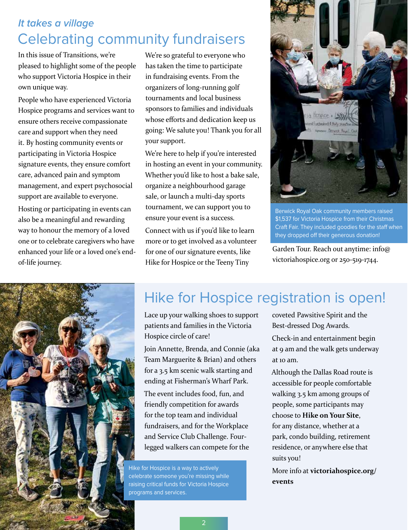#### **It takes a village** Celebrating community fundraisers

In this issue of Transitions, we're pleased to highlight some of the people who support Victoria Hospice in their own unique way.

People who have experienced Victoria Hospice programs and services want to ensure others receive compassionate care and support when they need it. By hosting community events or participating in Victoria Hospice signature events, they ensure comfort care, advanced pain and symptom management, and expert psychosocial support are available to everyone.

Hosting or participating in events can also be a meaningful and rewarding way to honour the memory of a loved one or to celebrate caregivers who have enhanced your life or a loved one's endof-life journey.

We're so grateful to everyone who has taken the time to participate in fundraising events. From the organizers of long-running golf tournaments and local business sponsors to families and individuals whose efforts and dedication keep us going: We salute you! Thank you for all your support.

We're here to help if you're interested in hosting an event in your community. Whether you'd like to host a bake sale, organize a neighbourhood garage sale, or launch a multi-day sports tournament, we can support you to ensure your event is a success.

Connect with us if you'd like to learn more or to get involved as a volunteer for one of our signature events, like Hike for Hospice or the Teeny Tiny



Berwick Royal Oak community members raised \$1,537 for Victoria Hospice from their Christmas Craft Fair. They included goodies for the staff when they dropped off their generous donation!

Garden Tour. Reach out anytime: info@ victoriahospice.org or 250-519-1744.



### Hike for Hospice registration is open!

Lace up your walking shoes to support patients and families in the Victoria Hospice circle of care!

Join Annette, Brenda, and Connie (aka Team Marguerite & Brian) and others for a 3.5 km scenic walk starting and ending at Fisherman's Wharf Park.

The event includes food, fun, and friendly competition for awards for the top team and individual fundraisers, and for the Workplace and Service Club Challenge. Fourlegged walkers can compete for the

Hike for Hospice is a way to actively celebrate someone you're missing while raising critical funds for Victoria Hospice programs and services.

coveted Pawsitive Spirit and the Best-dressed Dog Awards.

Check-in and entertainment begin at 9 am and the walk gets underway at 10 am.

Although the Dallas Road route is accessible for people comfortable walking 3.5 km among groups of people, some participants may choose to **Hike on Your Site**, for any distance, whether at a park, condo building, retirement residence, or anywhere else that suits you!

More info at **victoriahospice.org/ events**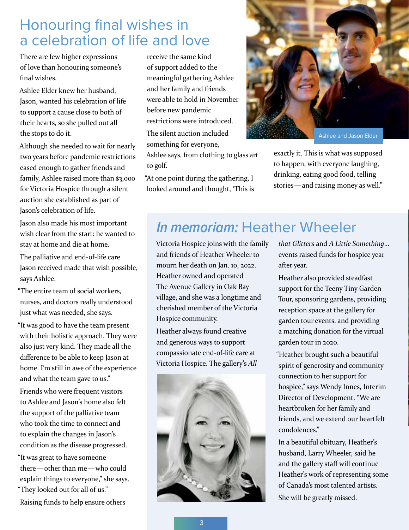#### Honouring final wishes in a celebration of life and love

There are few higher expressions of love than honouring someone's final wishes.

Ashlee Elder knew her husband, Jason, wanted his celebration of life to support a cause close to both of their hearts, so she pulled out all the stops to do it.

Although she needed to wait for nearly two years before pandemic restrictions eased enough to gather friends and family, Ashlee raised more than \$3,000 for Victoria Hospice through a silent auction she established as part of Jason's celebration of life.

Jason also made his most important wish clear from the start: he wanted to stay at home and die at home.

The palliative and end-of-life care Jason received made that wish possible, says Ashlee.

"The entire team of social workers, nurses, and doctors really understood just what was needed, she says.

"It was good to have the team present with their holistic approach. They were also just very kind. They made all the difference to be able to keep Jason at home. I'm still in awe of the experience and what the team gave to us."

Friends who were frequent visitors to Ashlee and Jason's home also felt the support of the palliative team who took the time to connect and to explain the changes in Jason's condition as the disease progressed.

"It was great to have someone there—other than me—who could explain things to everyone," she says. "They looked out for all of us."

Raising funds to help ensure others

receive the same kind of support added to the meaningful gathering Ashlee and her family and friends were able to hold in November before new pandemic restrictions were introduced. The silent auction included

something for everyone, Ashlee says, from clothing to glass art

to golf.

"At one point during the gathering, I looked around and thought, 'This is



Ashlee and Jason Elder

exactly it. This is what was supposed to happen, with everyone laughing, drinking, eating good food, telling stories—and raising money as well."

#### **In memoriam:** Heather Wheeler

Victoria Hospice joins with the family and friends of Heather Wheeler to mourn her death on Jan. 10, 2022. Heather owned and operated The Avenue Gallery in Oak Bay village, and she was a longtime and cherished member of the Victoria Hospice community.

Heather always found creative and generous ways to support compassionate end-of-life care at Victoria Hospice. The gallery's *All* 



*that Glitters* and *A Little Something*… events raised funds for hospice year after year.

Heather also provided steadfast support for the Teeny Tiny Garden Tour, sponsoring gardens, providing reception space at the gallery for garden tour events, and providing a matching donation for the virtual garden tour in 2020.

"Heather brought such a beautiful spirit of generosity and community connection to her support for hospice," says Wendy Innes, Interim Director of Development. "We are heartbroken for her family and friends, and we extend our heartfelt condolences."

In a beautiful obituary, Heather's husband, Larry Wheeler, said he and the gallery staff will continue Heather's work of representing some of Canada's most talented artists. She will be greatly missed.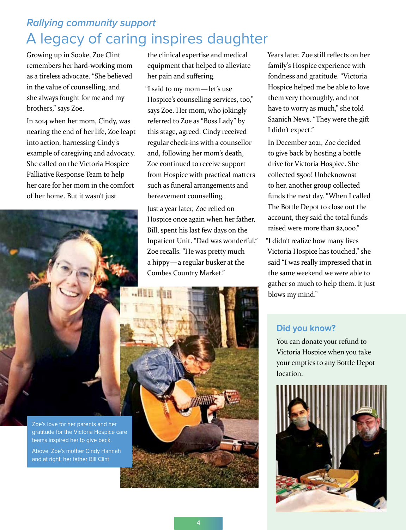#### **Rallying community support** A legacy of caring inspires daughter

Growing up in Sooke, Zoe Clint remembers her hard-working mom as a tireless advocate. "She believed in the value of counselling, and she always fought for me and my brothers," says Zoe.

In 2014 when her mom, Cindy, was nearing the end of her life, Zoe leapt into action, harnessing Cindy's example of caregiving and advocacy. She called on the Victoria Hospice Palliative Response Team to help her care for her mom in the comfort of her home. But it wasn't just



Zoe's love for her parents and her gratitude for the Victoria Hospice care teams inspired her to give back.

Above, Zoe's mother Cindy Hannah and at right, her father Bill Clint

the clinical expertise and medical equipment that helped to alleviate her pain and suffering.

"I said to my mom—let's use Hospice's counselling services, too," says Zoe. Her mom, who jokingly referred to Zoe as "Boss Lady" by this stage, agreed. Cindy received regular check-ins with a counsellor and, following her mom's death, Zoe continued to receive support from Hospice with practical matters such as funeral arrangements and bereavement counselling.

Just a year later, Zoe relied on Hospice once again when her father, Bill, spent his last few days on the Inpatient Unit. "Dad was wonderful," Zoe recalls. "He was pretty much a hippy—a regular busker at the Combes Country Market."

Years later, Zoe still reflects on her family's Hospice experience with fondness and gratitude. "Victoria Hospice helped me be able to love them very thoroughly, and not have to worry as much," she told Saanich News. "They were the gift I didn't expect."

In December 2021, Zoe decided to give back by hosting a bottle drive for Victoria Hospice. She collected \$500! Unbeknownst to her, another group collected funds the next day. "When I called The Bottle Depot to close out the account, they said the total funds raised were more than \$2,000."

"I didn't realize how many lives Victoria Hospice has touched," she said "I was really impressed that in the same weekend we were able to gather so much to help them. It just blows my mind."

#### **Did you know?**

You can donate your refund to Victoria Hospice when you take your empties to any Bottle Depot location.

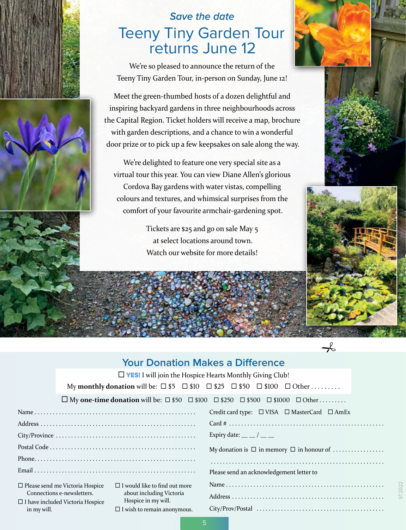



#### **Save the date** Teeny Tiny Garden Tour returns June 12

We're so pleased to announce the return of the Teeny Tiny Garden Tour, in-person on Sunday, June 12!

Meet the green-thumbed hosts of a dozen delightful and inspiring backyard gardens in three neighbourhoods across the Capital Region. Ticket holders will receive a map, brochure with garden descriptions, and a chance to win a wonderful door prize or to pick up a few keepsakes on sale along the way.

We're delighted to feature one very special site as a virtual tour this year. You can view Diane Allen's glorious Cordova Bay gardens with water vistas, compelling colours and textures, and whimsical surprises from the comfort of your favourite armchair-gardening spot.

> Tickets are \$25 and go on sale May 5 at select locations around town. Watch our website for more details!







 $\rightarrow$ 

ST2022

#### **Your Donation Makes a Difference**

 $\Box$  YES! I will join the Hospice Hearts Monthly Giving Club!

My **monthly donation** will be:  $\Box$  \$5  $\Box$  \$10  $\Box$  \$25  $\Box$  \$50  $\Box$  \$100  $\Box$  Other . . . . . . . . .

 $□$  My **one-time donation** will be:  $□$  \$50  $□$  \$100  $□$  \$250  $□$  \$500  $□$  \$1000  $□$  Other . . . . . . . .

|                                         |                                                 | Credit card type: $\Box$ VISA $\Box$ MasterCard $\Box$ AmEx                                                    |
|-----------------------------------------|-------------------------------------------------|----------------------------------------------------------------------------------------------------------------|
|                                         |                                                 | $Card # \dots \dots \dots \dots \dots \dots \dots \dots \dots \dots \dots \dots \dots \dots \dots \dots \dots$ |
|                                         |                                                 | Expiry date: $\_\_$ / $\_\_$                                                                                   |
|                                         |                                                 | My donation is $\Box$ in memory $\Box$ in honour of                                                            |
|                                         |                                                 |                                                                                                                |
|                                         |                                                 | Please send an acknowledgement letter to                                                                       |
| $\Box$ Please send me Victoria Hospice  | $\Box$ I would like to find out more            |                                                                                                                |
| Connections e-newsletters.              | about including Victoria<br>Hospice in my will. |                                                                                                                |
| $\Box$ I have included Victoria Hospice |                                                 |                                                                                                                |
| in my will.                             | $\Box$ I wish to remain anonymous.              |                                                                                                                |

5